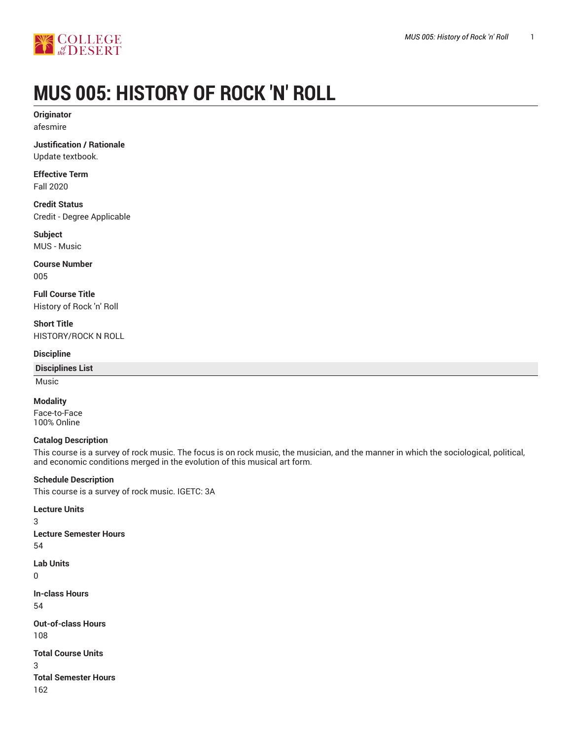

# **MUS 005: HISTORY OF ROCK 'N' ROLL**

**Originator** afesmire

**Justification / Rationale** Update textbook.

**Effective Term** Fall 2020

**Credit Status** Credit - Degree Applicable

**Subject** MUS - Music

**Course Number** 005

**Full Course Title** History of Rock 'n' Roll

**Short Title** HISTORY/ROCK N ROLL

# **Discipline**

**Disciplines List**

Music

3

 $\Omega$ 

3

# **Modality**

Face-to-Face 100% Online

# **Catalog Description**

This course is a survey of rock music. The focus is on rock music, the musician, and the manner in which the sociological, political, and economic conditions merged in the evolution of this musical art form.

# **Schedule Description**

This course is a survey of rock music. IGETC: 3A

**Lecture Units Lecture Semester Hours** 54 **Lab Units In-class Hours** 54 **Out-of-class Hours** 108 **Total Course Units Total Semester Hours** 162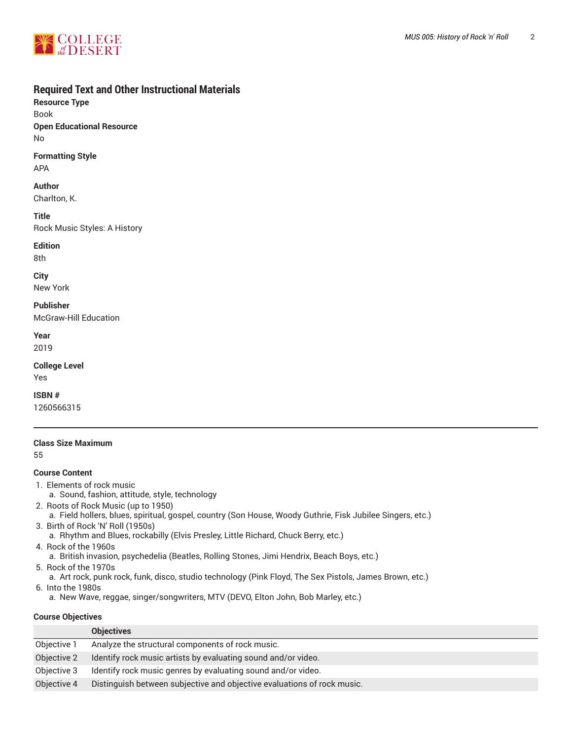

# **Required Text and Other Instructional Materials**

**Resource Type** Book **Open Educational Resource** No

# **Formatting Style**

APA

# **Author**

Charlton, K.

#### **Title**

Rock Music Styles: A History

# **Edition**

8th

# **City**

New York

# **Publisher**

McGraw-Hill Education

**Year**

2019

# **College Level**

Yes

# **ISBN #**

1260566315

# **Class Size Maximum**

55

# **Course Content**

- 1. Elements of rock music
	- a. Sound, fashion, attitude, style, technology
- 2. Roots of Rock Music (up to 1950)
	- a. Field hollers, blues, spiritual, gospel, country (Son House, Woody Guthrie, Fisk Jubilee Singers, etc.)
- 3. Birth of Rock 'N' Roll (1950s)
- a. Rhythm and Blues, rockabilly (Elvis Presley, Little Richard, Chuck Berry, etc.)
- 4. Rock of the 1960s
- a. British invasion, psychedelia (Beatles, Rolling Stones, Jimi Hendrix, Beach Boys, etc.)
- 5. Rock of the 1970s
- a. Art rock, punk rock, funk, disco, studio technology (Pink Floyd, The Sex Pistols, James Brown, etc.)
- 6. Into the 1980s
- a. New Wave, reggae, singer/songwriters, MTV (DEVO, Elton John, Bob Marley, etc.)

# **Course Objectives**

|             | <b>Objectives</b>                                                       |
|-------------|-------------------------------------------------------------------------|
| Objective 1 | Analyze the structural components of rock music.                        |
| Objective 2 | Identify rock music artists by evaluating sound and/or video.           |
| Objective 3 | Identify rock music genres by evaluating sound and/or video.            |
| Objective 4 | Distinguish between subjective and objective evaluations of rock music. |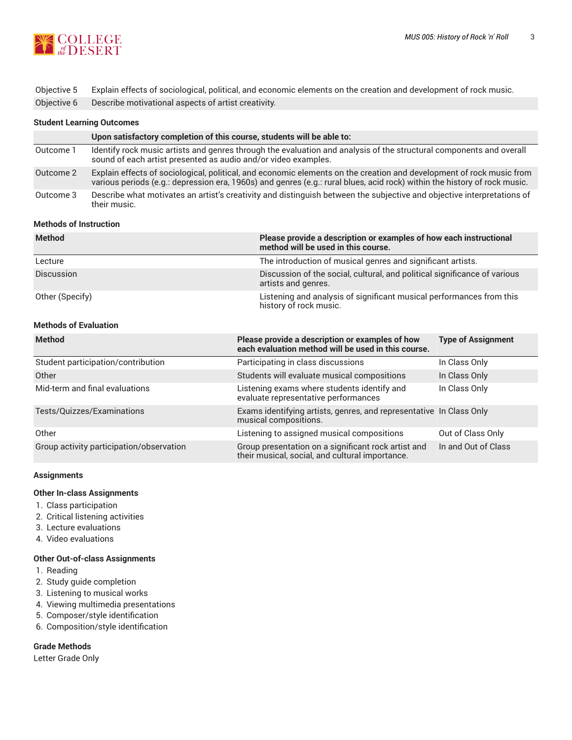

| Objective 5 Explain effects of sociological, political, and economic elements on the creation and development of rock music. |
|------------------------------------------------------------------------------------------------------------------------------|
| Objective 6 Describe motivational aspects of artist creativity.                                                              |

#### **Student Learning Outcomes**

|           | Upon satisfactory completion of this course, students will be able to:                                                                                                                                                                            |
|-----------|---------------------------------------------------------------------------------------------------------------------------------------------------------------------------------------------------------------------------------------------------|
| Outcome 1 | Identify rock music artists and genres through the evaluation and analysis of the structural components and overall<br>sound of each artist presented as audio and/or video examples.                                                             |
| Outcome 2 | Explain effects of sociological, political, and economic elements on the creation and development of rock music from<br>various periods (e.g.: depression era, 1960s) and genres (e.g.: rural blues, acid rock) within the history of rock music. |
| Outcome 3 | Describe what motivates an artist's creativity and distinguish between the subjective and objective interpretations of<br>their music.                                                                                                            |

#### **Methods of Instruction**

| <b>Method</b>     | Please provide a description or examples of how each instructional<br>method will be used in this course. |
|-------------------|-----------------------------------------------------------------------------------------------------------|
| Lecture           | The introduction of musical genres and significant artists.                                               |
| <b>Discussion</b> | Discussion of the social, cultural, and political significance of various<br>artists and genres.          |
| Other (Specify)   | Listening and analysis of significant musical performances from this<br>history of rock music.            |

#### **Methods of Evaluation**

| <b>Method</b>                            | Please provide a description or examples of how<br>each evaluation method will be used in this course. | <b>Type of Assignment</b> |
|------------------------------------------|--------------------------------------------------------------------------------------------------------|---------------------------|
| Student participation/contribution       | Participating in class discussions                                                                     | In Class Only             |
| Other                                    | Students will evaluate musical compositions                                                            | In Class Only             |
| Mid-term and final evaluations           | Listening exams where students identify and<br>evaluate representative performances                    | In Class Only             |
| Tests/Quizzes/Examinations               | Exams identifying artists, genres, and representative In Class Only<br>musical compositions.           |                           |
| Other                                    | Listening to assigned musical compositions                                                             | Out of Class Only         |
| Group activity participation/observation | Group presentation on a significant rock artist and<br>their musical, social, and cultural importance. | In and Out of Class       |

#### **Assignments**

# **Other In-class Assignments**

- 1. Class participation
- 2. Critical listening activities
- 3. Lecture evaluations
- 4. Video evaluations

# **Other Out-of-class Assignments**

- 1. Reading
- 2. Study guide completion
- 3. Listening to musical works
- 4. Viewing multimedia presentations
- 5. Composer/style identification
- 6. Composition/style identification

# **Grade Methods**

Letter Grade Only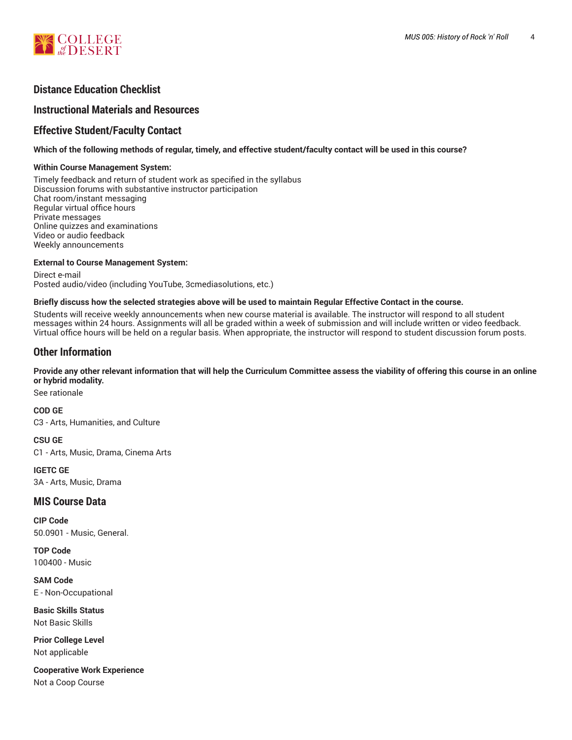

# **Distance Education Checklist**

# **Instructional Materials and Resources**

# **Effective Student/Faculty Contact**

#### Which of the following methods of regular, timely, and effective student/faculty contact will be used in this course?

#### **Within Course Management System:**

Timely feedback and return of student work as specified in the syllabus Discussion forums with substantive instructor participation Chat room/instant messaging Regular virtual office hours Private messages Online quizzes and examinations Video or audio feedback Weekly announcements

#### **External to Course Management System:**

Direct e-mail Posted audio/video (including YouTube, 3cmediasolutions, etc.)

#### Briefly discuss how the selected strategies above will be used to maintain Regular Effective Contact in the course.

Students will receive weekly announcements when new course material is available. The instructor will respond to all student messages within 24 hours. Assignments will all be graded within a week of submission and will include written or video feedback. Virtual office hours will be held on a regular basis. When appropriate, the instructor will respond to student discussion forum posts.

# **Other Information**

#### Provide any other relevant information that will help the Curriculum Committee assess the viability of offering this course in an online **or hybrid modality.**

See rationale

**COD GE** C3 - Arts, Humanities, and Culture

**CSU GE**

C1 - Arts, Music, Drama, Cinema Arts

**IGETC GE**

3A - Arts, Music, Drama

# **MIS Course Data**

**CIP Code** 50.0901 - Music, General.

**TOP Code** 100400 - Music

**SAM Code** E - Non-Occupational

**Basic Skills Status** Not Basic Skills

**Prior College Level** Not applicable

**Cooperative Work Experience** Not a Coop Course